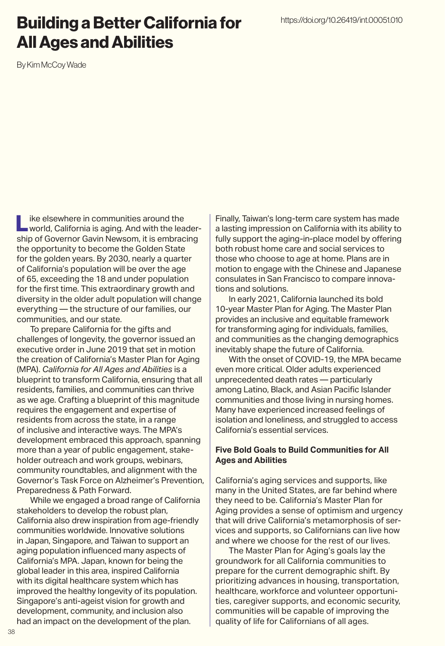## Building a Better California for All Ages and Abilities

By Kim McCoy Wade

Like elsewhere in communities around the<br>world, California is aging. And with the leadership of Governor Gavin Newsom, it is embracing the opportunity to become the Golden State for the golden years. By 2030, nearly a quarter of California's population will be over the age of 65, exceeding the 18 and under population for the first time. This extraordinary growth and diversity in the older adult population will change everything — the structure of our families, our communities, and our state.

To prepare California for the gifts and challenges of longevity, the governor issued an executive order in June 2019 that set in motion the creation of California's Master Plan for Aging (MPA). *California for All Ages and Abilities* is a blueprint to transform California, ensuring that all residents, families, and communities can thrive as we age. Crafting a blueprint of this magnitude requires the engagement and expertise of residents from across the state, in a range of inclusive and interactive ways. The MPA's development embraced this approach, spanning more than a year of public engagement, stakeholder outreach and work groups, webinars, community roundtables, and alignment with the Governor's Task Force on Alzheimer's Prevention, Preparedness & Path Forward.

While we engaged a broad range of California stakeholders to develop the robust plan, California also drew inspiration from age-friendly communities worldwide. Innovative solutions in Japan, Singapore, and Taiwan to support an aging population influenced many aspects of California's MPA. Japan, known for being the global leader in this area, inspired California with its digital healthcare system which has improved the healthy longevity of its population. Singapore's anti-ageist vision for growth and development, community, and inclusion also

had an impact on the development of the plan.

Finally, Taiwan's long-term care system has made a lasting impression on California with its ability to fully support the aging-in-place model by offering both robust home care and social services to those who choose to age at home. Plans are in motion to engage with the Chinese and Japanese consulates in San Francisco to compare innovations and solutions.

In early 2021, California launched its bold 10-year Master Plan for Aging. The Master Plan provides an inclusive and equitable framework for transforming aging for individuals, families, and communities as the changing demographics inevitably shape the future of California.

With the onset of COVID-19, the MPA became even more critical. Older adults experienced unprecedented death rates — particularly among Latino, Black, and Asian Pacific Islander communities and those living in nursing homes. Many have experienced increased feelings of isolation and loneliness, and struggled to access California's essential services.

## **Five Bold Goals to Build Communities for All Ages and Abilities**

California's aging services and supports, like many in the United States, are far behind where they need to be. California's Master Plan for Aging provides a sense of optimism and urgency that will drive California's metamorphosis of services and supports, so Californians can live how and where we choose for the rest of our lives.

The Master Plan for Aging's goals lay the groundwork for all California communities to prepare for the current demographic shift. By prioritizing advances in housing, transportation, healthcare, workforce and volunteer opportunities, caregiver supports, and economic security, communities will be capable of improving the quality of life for Californians of all ages.